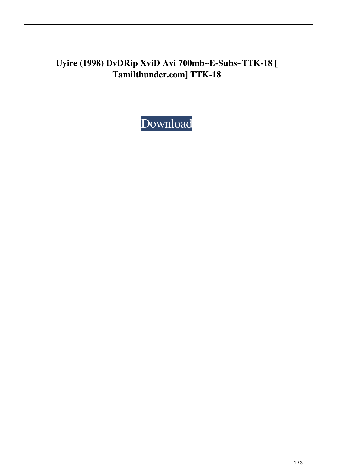## **Uyire (1998) DvDRip XviD Avi 700mb~E-Subs~TTK-18 [ Tamilthunder.com] TTK-18**

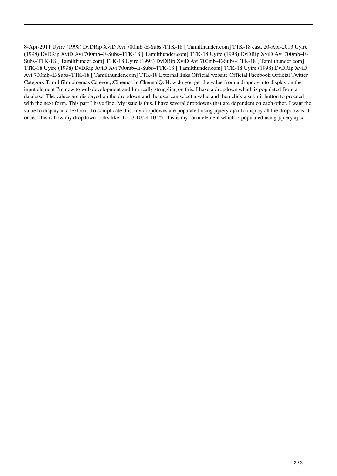8-Apr-2011 Uyire (1998) DvDRip XviD Avi 700mb~E-Subs~TTK-18 [ Tamilthunder.com] TTK-18 cast. 20-Apr-2013 Uyire (1998) DvDRip XviD Avi 700mb~E-Subs~TTK-18 [ Tamilthunder.com] TTK-18 Uyire (1998) DvDRip XviD Avi 700mb~E-Subs~TTK-18 [ Tamilthunder.com] TTK-18 Uyire (1998) DvDRip XviD Avi 700mb~E-Subs~TTK-18 [ Tamilthunder.com] TTK-18 Uyire (1998) DvDRip XviD Avi 700mb~E-Subs~TTK-18 [ Tamilthunder.com] TTK-18 Uyire (1998) DvDRip XviD Avi 700mb~E-Subs~TTK-18 [ Tamilthunder.com] TTK-18 External links Official website Official Facebook Official Twitter Category:Tamil film cinemas Category:Cinemas in ChennaiQ: How do you get the value from a dropdown to display on the input element I'm new to web development and I'm really struggling on this. I have a dropdown which is populated from a database. The values are displayed on the dropdown and the user can select a value and then click a submit button to proceed with the next form. This part I have fine. My issue is this. I have several dropdowns that are dependent on each other. I want the value to display in a textbox. To complicate this, my dropdowns are populated using jquery ajax to display all the dropdowns at once. This is how my dropdown looks like: 10.23 10.24 10.25 This is my form element which is populated using jquery ajax